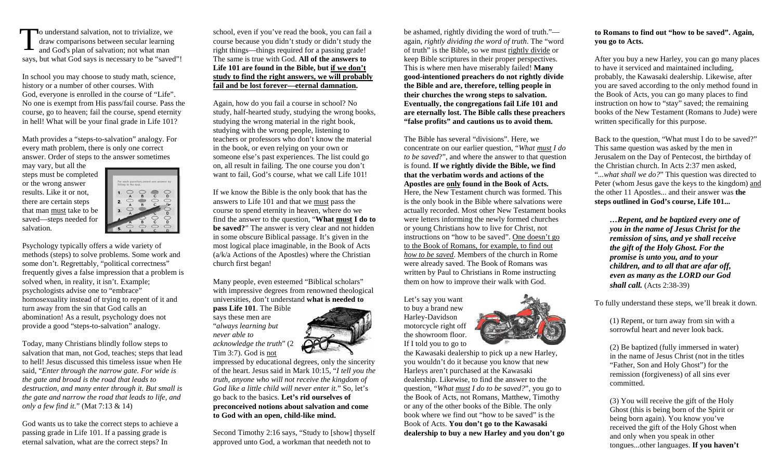o understand salvation, not to trivialize, we draw comparisons between secular learning and God's plan of salvation; not what man says, but what God says is necessary to be "saved"!T

In school you may choose to study math, science, history or a number of other courses. With God, everyone is enrolled in the course of "Life". No one is exempt from His pass/fail course. Pass the course, go to heaven; fail the course, spend eternity in hell! What will be your final grade in Life 101?

Math provides a "steps-to-salvation" analogy. For every math problem, there is only one correct answer. Order of steps to the answer sometimes

may vary, but all the steps must be completed or the wrong answer results. Like it or not, there are certain steps that man must take to be saved—steps needed for salvation.



Psychology typically offers a wide variety of methods (steps) to solve problems. Some work and some don't. Regrettably, "political correctness" frequently gives a false impression that a problem is solved when, in reality, it isn't. Example; psychologists advise one to "embrace" homosexuality instead of trying to repent of it andturn away from the sin that God calls an abomination! As a result, psychology does not provide a good "steps-to-salvation" analogy.

Today, many Christians blindly follow steps to salvation that man, not God, teaches; steps that lead to hell! Jesus discussed this timeless issue when He said, "*Enter through the narrow gate. For wide is the gate and broad is the road that leads to destruction, and many enter through it. But small is the gate and narrow the road that leads to life, and only a few find it.*" (Mat 7:13 & 14)

God wants us to take the correct steps to achieve apassing grade in Life 101. If a passing grade is eternal salvation, what are the correct steps? In

school, even if you've read the book, you can fail a course because you didn't study or didn't study theright things—things required for a passing grade! The same is true with God. **All of the answers to Life 101 are found in the Bible, but if we don't study to find the right answers, we will probably fail and be lost forever—eternal damnation.**

Again, how do you fail a course in school? No study, half-hearted study, studying the wrong books, studying the wrong material in the right book, studying with the wrong people, listening to teachers or professors who don't know the material in the book, or even relying on your own or someone else's past experiences. The list could go on, all result in failing. The one course you don'twant to fail, God's course, what we call Life 101!

If we know the Bible is the only book that has the answers to Life 101 and that we must pass the course to spend eternity in heaven, where do we find the answer to the question, "**What must I do to be saved?**" The answer is very clear and not hidden in some obscure Biblical passage. It's given in the most logical place imaginable, in the Book of Acts (a/k/a Actions of the Apostles) where the Christianchurch first began!

Many people, even esteemed "Biblical scholars" with impressive degrees from renowned theological universities, don't understand **what is needed to** 

**pass Life 101**. The Bible says these men are "*always learning but never able to acknowledge the truth*" (2 Tim 3:7). God is not

 impressed by educational degrees, only the sincerity of the heart. Jesus said in Mark 10:15, "*I tell you the truth, anyone who will not receive the kingdom of God like a little child will never enter it.*" So, let's go back to the basics. **Let's rid ourselves of preconceived notions about salvation and come to God with an open, child-like mind.**

Second Timothy 2:16 says, "Study to [show] thyself approved unto God, a workman that needeth not to

be ashamed, rightly dividing the word of truth." again, *rightly dividing the word of truth*. The "word of truth" is the Bible, so we must rightly divide or keep Bible scriptures in their proper perspectives.This is where men have miserably failed! **Many good-intentioned preachers do not rightly divide the Bible and are, therefore, telling people in their churches the wrong steps to salvation. Eventually, the congregations fail Life 101 and are eternally lost. The Bible calls these preachers"false profits" and cautions us to avoid them.**

The Bible has several "divisions". Here, we concentrate on our earlier question, "*What must I do to be saved*?", and where the answer to that question is found. **If we rightly divide the Bible, we find that the verbatim words and actions of the Apostles are only found in the Book of Acts.** Here, the New Testament church was formed. This is the only book in the Bible where salvations were actually recorded. Most other New Testament books were letters informing the newly formed churches or young Christians how to live for Christ, not instructions on "how to be saved". One doesn't go to the Book of Romans, for example, to find out *how to be saved*. Members of the church in Rome were already saved. The Book of Romans was written by Paul to Christians in Rome instructing them on how to improve their walk with God.

Let's say you want to buy a brand new Harley-Davidson motorcycle right off the showroom floor. If I told you to go to



 the Kawasaki dealership to pick up a new Harley, you wouldn't do it because you know that new Harleys aren't purchased at the Kawasaki dealership. Likewise, to find the answer to the question, "*What must I do to be saved?*", you go to the Book of Acts, not Romans, Matthew, Timothy or any of the other books of the Bible. The only book where we find out "how to be saved" is the Book of Acts. **You don't go to the Kawasaki dealership to buy a new Harley and you don't go** 

#### **to Romans to find out "how to be saved". Again, you go to Acts.**

After you buy a new Harley, you can go many places to have it serviced and maintained including, probably, the Kawasaki dealership. Likewise, after you are saved according to the only method found inthe Book of Acts, you can go many places to find instruction on how to "stay" saved; the remaining books of the New Testament (Romans to Jude) were written specifically for this purpose.

Back to the question, "What must I do to be saved?"This same question was asked by the men in Jerusalem on the Day of Pentecost, the birthday of the Christian church. In Acts 2:37 men asked, "*...what shall we do?*" This question was directed to Peter (whom Jesus gave the keys to the kingdom) and the other 11 Apostles... and their answer was **the steps outlined in God's course, Life 101...** 

*…Repent, and be baptized every one of you in the name of Jesus Christ for the remission of sins, and ye shall receive the gift of the Holy Ghost. For the promise is unto you, and to your children, and to all that are afar off, even as many as the LORD our God shall call.* (Acts 2:38-39)

To fully understand these steps, we'll break it down.

 (1) Repent, or turn away from sin with a sorrowful heart and never look back.

 (2) Be baptized (fully immersed in water) in the name of Jesus Christ (not in the titles "Father, Son and Holy Ghost") for the remission (forgiveness) of all sins ever committed.

 (3) You will receive the gift of the Holy Ghost (this is being born of the Spirit or being born again). You know you've received the gift of the Holy Ghost when and only when you speak in other tongues...other languages. **If you haven't**